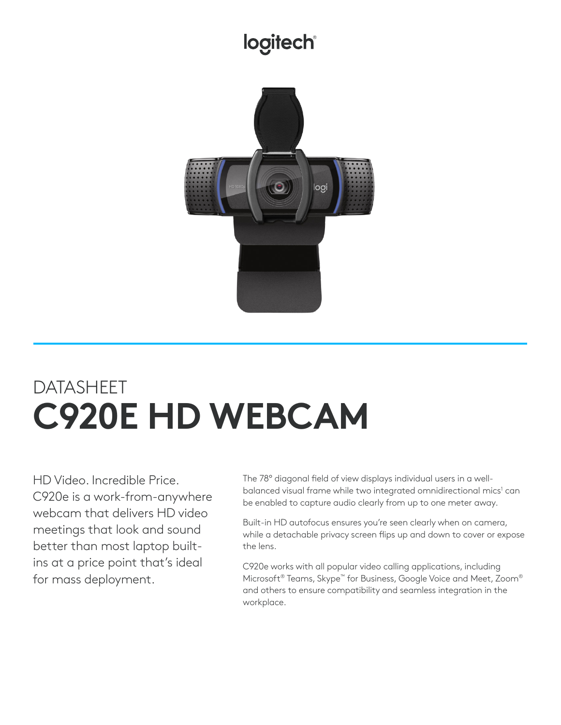## **logitech®**



## DATASHEET **C920E HD WEBCAM**

HD Video. Incredible Price. C920e is a work-from-anywhere webcam that delivers HD video meetings that look and sound better than most laptop builtins at a price point that's ideal for mass deployment.

The 78° diagonal field of view displays individual users in a wellbalanced visual frame while two integrated omnidirectional mics<sup>1</sup> can be enabled to capture audio clearly from up to one meter away.

Built-in HD autofocus ensures you're seen clearly when on camera, while a detachable privacy screen flips up and down to cover or expose the lens.

C920e works with all popular video calling applications, including Microsoft® Teams, Skype™ for Business, Google Voice and Meet, Zoom® and others to ensure compatibility and seamless integration in the workplace.